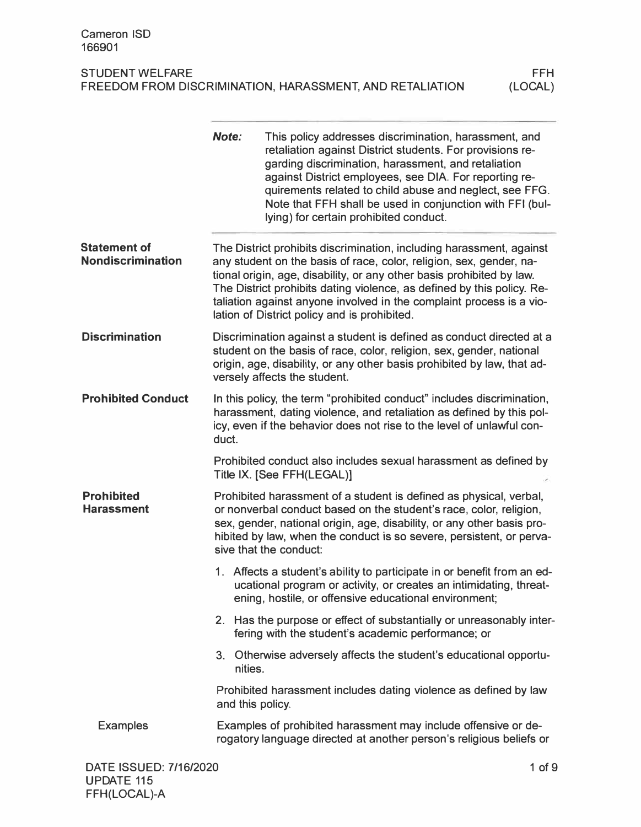| <b>STUDENT WELFARE</b>                                   |  |
|----------------------------------------------------------|--|
| FREEDOM FROM DISCRIMINATION, HARASSMENT, AND RETALIATION |  |

|                                                 | Note: | This policy addresses discrimination, harassment, and<br>retaliation against District students. For provisions re-<br>garding discrimination, harassment, and retaliation<br>against District employees, see DIA. For reporting re-<br>quirements related to child abuse and neglect, see FFG.<br>Note that FFH shall be used in conjunction with FFI (bul-<br>lying) for certain prohibited conduct.                  |            |
|-------------------------------------------------|-------|------------------------------------------------------------------------------------------------------------------------------------------------------------------------------------------------------------------------------------------------------------------------------------------------------------------------------------------------------------------------------------------------------------------------|------------|
| <b>Statement of</b><br><b>Nondiscrimination</b> |       | The District prohibits discrimination, including harassment, against<br>any student on the basis of race, color, religion, sex, gender, na-<br>tional origin, age, disability, or any other basis prohibited by law.<br>The District prohibits dating violence, as defined by this policy. Re-<br>taliation against anyone involved in the complaint process is a vio-<br>lation of District policy and is prohibited. |            |
| <b>Discrimination</b>                           |       | Discrimination against a student is defined as conduct directed at a<br>student on the basis of race, color, religion, sex, gender, national<br>origin, age, disability, or any other basis prohibited by law, that ad-<br>versely affects the student.                                                                                                                                                                |            |
| <b>Prohibited Conduct</b>                       | duct. | In this policy, the term "prohibited conduct" includes discrimination,<br>harassment, dating violence, and retaliation as defined by this pol-<br>icy, even if the behavior does not rise to the level of unlawful con-                                                                                                                                                                                                |            |
|                                                 |       | Prohibited conduct also includes sexual harassment as defined by<br>Title IX. [See FFH(LEGAL)]                                                                                                                                                                                                                                                                                                                         |            |
| <b>Prohibited</b><br><b>Harassment</b>          |       | Prohibited harassment of a student is defined as physical, verbal,<br>or nonverbal conduct based on the student's race, color, religion,<br>sex, gender, national origin, age, disability, or any other basis pro-<br>hibited by law, when the conduct is so severe, persistent, or perva-<br>sive that the conduct:                                                                                                   |            |
|                                                 |       | 1. Affects a student's ability to participate in or benefit from an ed-<br>ucational program or activity, or creates an intimidating, threat-<br>ening, hostile, or offensive educational environment;                                                                                                                                                                                                                 |            |
|                                                 |       | 2. Has the purpose or effect of substantially or unreasonably inter-<br>fering with the student's academic performance; or                                                                                                                                                                                                                                                                                             |            |
|                                                 |       | 3. Otherwise adversely affects the student's educational opportu-<br>nities.                                                                                                                                                                                                                                                                                                                                           |            |
|                                                 |       | Prohibited harassment includes dating violence as defined by law<br>and this policy.                                                                                                                                                                                                                                                                                                                                   |            |
| <b>Examples</b>                                 |       | Examples of prohibited harassment may include offensive or de-<br>rogatory language directed at another person's religious beliefs or                                                                                                                                                                                                                                                                                  |            |
| DATE ISSUED: 7/16/2020                          |       |                                                                                                                                                                                                                                                                                                                                                                                                                        | $1$ of $9$ |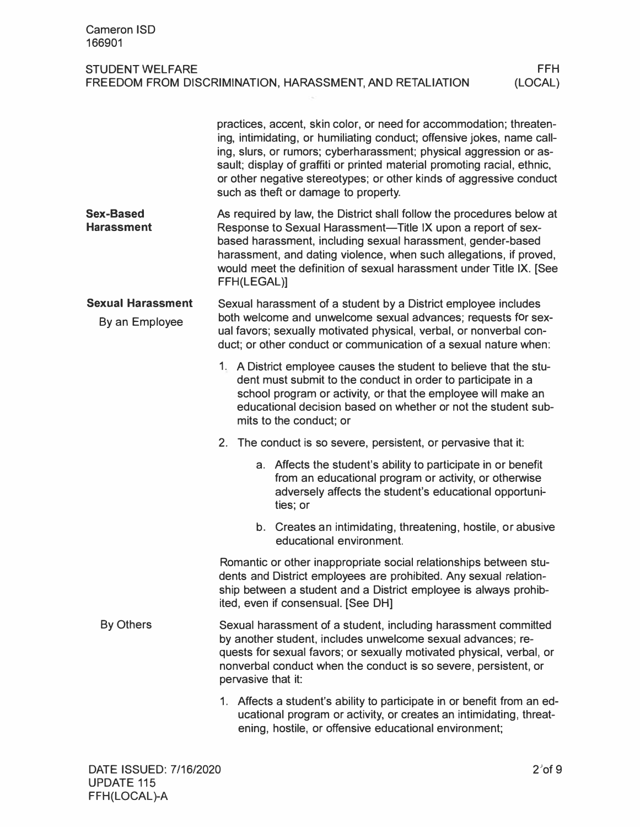|                                            | practices, accent, skin color, or need for accommodation; threaten-<br>ing, intimidating, or humiliating conduct; offensive jokes, name call-<br>ing, slurs, or rumors; cyberharassment; physical aggression or as-<br>sault; display of graffiti or printed material promoting racial, ethnic,<br>or other negative stereotypes; or other kinds of aggressive conduct<br>such as theft or damage to property. |
|--------------------------------------------|----------------------------------------------------------------------------------------------------------------------------------------------------------------------------------------------------------------------------------------------------------------------------------------------------------------------------------------------------------------------------------------------------------------|
| <b>Sex-Based</b><br><b>Harassment</b>      | As required by law, the District shall follow the procedures below at<br>Response to Sexual Harassment-Title IX upon a report of sex-<br>based harassment, including sexual harassment, gender-based<br>harassment, and dating violence, when such allegations, if proved,<br>would meet the definition of sexual harassment under Title IX. [See<br>FFH(LEGAL)]                                               |
| <b>Sexual Harassment</b><br>By an Employee | Sexual harassment of a student by a District employee includes<br>both welcome and unwelcome sexual advances; requests for sex-<br>ual favors; sexually motivated physical, verbal, or nonverbal con-<br>duct; or other conduct or communication of a sexual nature when:                                                                                                                                      |
|                                            | 1. A District employee causes the student to believe that the stu-<br>dent must submit to the conduct in order to participate in a<br>school program or activity, or that the employee will make an<br>educational decision based on whether or not the student sub-<br>mits to the conduct; or                                                                                                                |
|                                            | 2. The conduct is so severe, persistent, or pervasive that it:                                                                                                                                                                                                                                                                                                                                                 |
|                                            | a. Affects the student's ability to participate in or benefit<br>from an educational program or activity, or otherwise<br>adversely affects the student's educational opportuni-<br>ties; or                                                                                                                                                                                                                   |
|                                            | b. Creates an intimidating, threatening, hostile, or abusive<br>educational environment.                                                                                                                                                                                                                                                                                                                       |
|                                            | Romantic or other inappropriate social relationships between stu-<br>dents and District employees are prohibited. Any sexual relation-<br>ship between a student and a District employee is always prohib-<br>ited, even if consensual. [See DH]                                                                                                                                                               |
| <b>By Others</b>                           | Sexual harassment of a student, including harassment committed<br>by another student, includes unwelcome sexual advances; re-<br>quests for sexual favors; or sexually motivated physical, verbal, or<br>nonverbal conduct when the conduct is so severe, persistent, or<br>pervasive that it:                                                                                                                 |
|                                            | 1. Affects a student's ability to participate in or benefit from an ed-<br>ucational program or activity, or creates an intimidating, threat-<br>ening, hostile, or offensive educational environment;                                                                                                                                                                                                         |

FFH (LOCAL)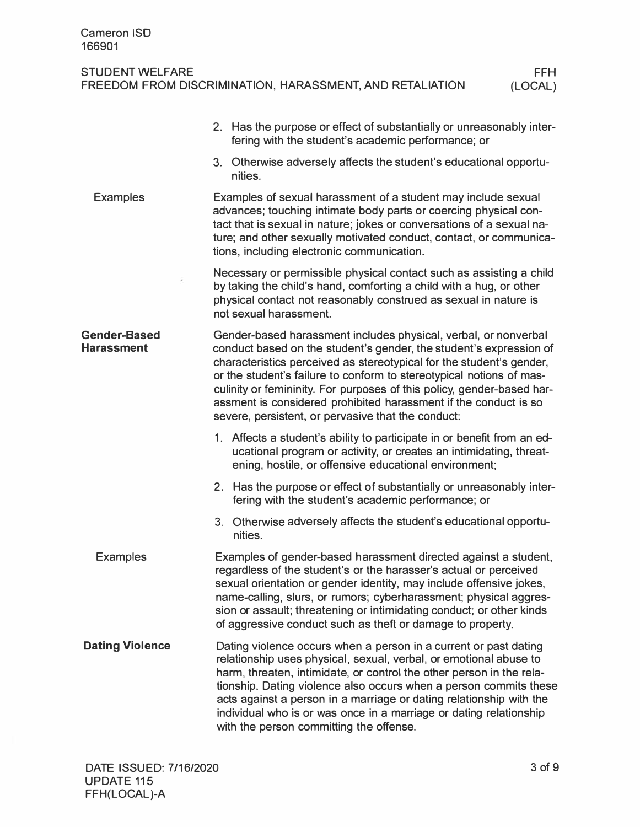|                                          | 2. Has the purpose or effect of substantially or unreasonably inter-<br>fering with the student's academic performance; or                                                                                                                                                                                                                                                                                                                                                                |
|------------------------------------------|-------------------------------------------------------------------------------------------------------------------------------------------------------------------------------------------------------------------------------------------------------------------------------------------------------------------------------------------------------------------------------------------------------------------------------------------------------------------------------------------|
|                                          | 3. Otherwise adversely affects the student's educational opportu-<br>nities.                                                                                                                                                                                                                                                                                                                                                                                                              |
| <b>Examples</b>                          | Examples of sexual harassment of a student may include sexual<br>advances; touching intimate body parts or coercing physical con-<br>tact that is sexual in nature; jokes or conversations of a sexual na-<br>ture; and other sexually motivated conduct, contact, or communica-<br>tions, including electronic communication.                                                                                                                                                            |
|                                          | Necessary or permissible physical contact such as assisting a child<br>by taking the child's hand, comforting a child with a hug, or other<br>physical contact not reasonably construed as sexual in nature is<br>not sexual harassment.                                                                                                                                                                                                                                                  |
| <b>Gender-Based</b><br><b>Harassment</b> | Gender-based harassment includes physical, verbal, or nonverbal<br>conduct based on the student's gender, the student's expression of<br>characteristics perceived as stereotypical for the student's gender,<br>or the student's failure to conform to stereotypical notions of mas-<br>culinity or femininity. For purposes of this policy, gender-based har-<br>assment is considered prohibited harassment if the conduct is so<br>severe, persistent, or pervasive that the conduct: |
|                                          | 1. Affects a student's ability to participate in or benefit from an ed-<br>ucational program or activity, or creates an intimidating, threat-<br>ening, hostile, or offensive educational environment;                                                                                                                                                                                                                                                                                    |
|                                          | 2. Has the purpose or effect of substantially or unreasonably inter-<br>fering with the student's academic performance; or                                                                                                                                                                                                                                                                                                                                                                |
|                                          | 3. Otherwise adversely affects the student's educational opportu-<br>nities.                                                                                                                                                                                                                                                                                                                                                                                                              |
| <b>Examples</b>                          | Examples of gender-based harassment directed against a student,<br>regardless of the student's or the harasser's actual or perceived<br>sexual orientation or gender identity, may include offensive jokes,<br>name-calling, slurs, or rumors; cyberharassment; physical aggres-<br>sion or assault; threatening or intimidating conduct; or other kinds<br>of aggressive conduct such as theft or damage to property.                                                                    |
| <b>Dating Violence</b>                   | Dating violence occurs when a person in a current or past dating<br>relationship uses physical, sexual, verbal, or emotional abuse to<br>harm, threaten, intimidate, or control the other person in the rela-<br>tionship. Dating violence also occurs when a person commits these<br>acts against a person in a marriage or dating relationship with the<br>individual who is or was once in a marriage or dating relationship<br>with the person committing the offense.                |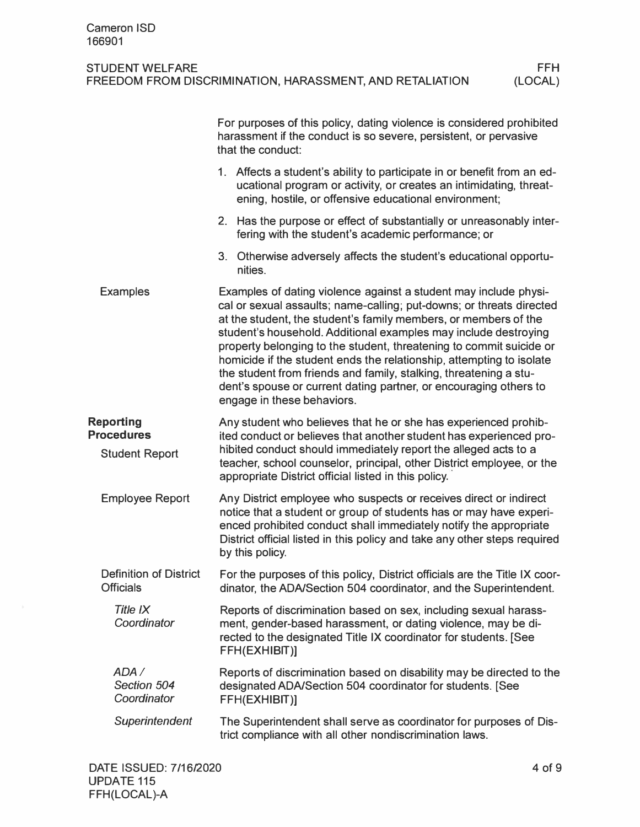|                                                                | For purposes of this policy, dating violence is considered prohibited<br>harassment if the conduct is so severe, persistent, or pervasive<br>that the conduct:                                                                                                                                                                                                                                                                                                                                                                                                                                        |
|----------------------------------------------------------------|-------------------------------------------------------------------------------------------------------------------------------------------------------------------------------------------------------------------------------------------------------------------------------------------------------------------------------------------------------------------------------------------------------------------------------------------------------------------------------------------------------------------------------------------------------------------------------------------------------|
|                                                                | 1. Affects a student's ability to participate in or benefit from an ed-<br>ucational program or activity, or creates an intimidating, threat-<br>ening, hostile, or offensive educational environment;                                                                                                                                                                                                                                                                                                                                                                                                |
|                                                                | 2. Has the purpose or effect of substantially or unreasonably inter-<br>fering with the student's academic performance; or                                                                                                                                                                                                                                                                                                                                                                                                                                                                            |
|                                                                | 3. Otherwise adversely affects the student's educational opportu-<br>nities.                                                                                                                                                                                                                                                                                                                                                                                                                                                                                                                          |
| <b>Examples</b>                                                | Examples of dating violence against a student may include physi-<br>cal or sexual assaults; name-calling; put-downs; or threats directed<br>at the student, the student's family members, or members of the<br>student's household. Additional examples may include destroying<br>property belonging to the student, threatening to commit suicide or<br>homicide if the student ends the relationship, attempting to isolate<br>the student from friends and family, stalking, threatening a stu-<br>dent's spouse or current dating partner, or encouraging others to<br>engage in these behaviors. |
| <b>Reporting</b><br><b>Procedures</b><br><b>Student Report</b> | Any student who believes that he or she has experienced prohib-<br>ited conduct or believes that another student has experienced pro-<br>hibited conduct should immediately report the alleged acts to a<br>teacher, school counselor, principal, other District employee, or the<br>appropriate District official listed in this policy.                                                                                                                                                                                                                                                             |
| <b>Employee Report</b>                                         | Any District employee who suspects or receives direct or indirect<br>notice that a student or group of students has or may have experi-<br>enced prohibited conduct shall immediately notify the appropriate<br>District official listed in this policy and take any other steps required<br>by this policy.                                                                                                                                                                                                                                                                                          |
| <b>Definition of District</b><br><b>Officials</b>              | For the purposes of this policy, District officials are the Title IX coor-<br>dinator, the ADA/Section 504 coordinator, and the Superintendent.                                                                                                                                                                                                                                                                                                                                                                                                                                                       |
| Title IX<br>Coordinator                                        | Reports of discrimination based on sex, including sexual harass-<br>ment, gender-based harassment, or dating violence, may be di-<br>rected to the designated Title IX coordinator for students. [See<br>FFH(EXHIBIT)]                                                                                                                                                                                                                                                                                                                                                                                |
| ADA /<br>Section 504<br>Coordinator                            | Reports of discrimination based on disability may be directed to the<br>designated ADA/Section 504 coordinator for students. [See<br>FFH(EXHIBIT)]                                                                                                                                                                                                                                                                                                                                                                                                                                                    |
| Superintendent                                                 | The Superintendent shall serve as coordinator for purposes of Dis-<br>trict compliance with all other nondiscrimination laws.                                                                                                                                                                                                                                                                                                                                                                                                                                                                         |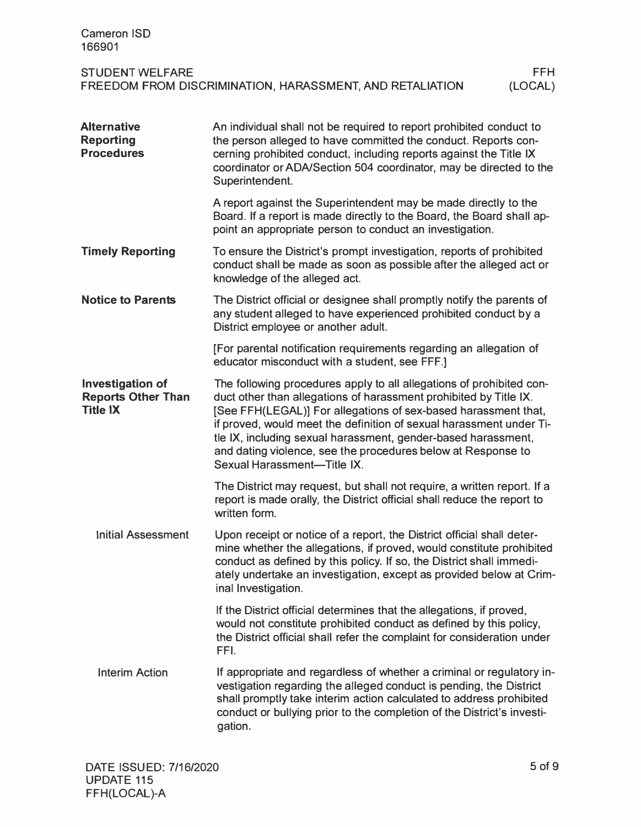| <b>Cameron ISD</b><br>166901                                            |                                                                                                                                                                                                                                                                                                                                                                                                                                                    |                       |
|-------------------------------------------------------------------------|----------------------------------------------------------------------------------------------------------------------------------------------------------------------------------------------------------------------------------------------------------------------------------------------------------------------------------------------------------------------------------------------------------------------------------------------------|-----------------------|
| <b>STUDENT WELFARE</b>                                                  | FREEDOM FROM DISCRIMINATION, HARASSMENT, AND RETALIATION                                                                                                                                                                                                                                                                                                                                                                                           | <b>FFH</b><br>(LOCAL) |
| <b>Alternative</b><br><b>Reporting</b><br><b>Procedures</b>             | An individual shall not be required to report prohibited conduct to<br>the person alleged to have committed the conduct. Reports con-<br>cerning prohibited conduct, including reports against the Title IX<br>coordinator or ADA/Section 504 coordinator, may be directed to the<br>Superintendent.                                                                                                                                               |                       |
|                                                                         | A report against the Superintendent may be made directly to the<br>Board. If a report is made directly to the Board, the Board shall ap-<br>point an appropriate person to conduct an investigation.                                                                                                                                                                                                                                               |                       |
| <b>Timely Reporting</b>                                                 | To ensure the District's prompt investigation, reports of prohibited<br>conduct shall be made as soon as possible after the alleged act or<br>knowledge of the alleged act.                                                                                                                                                                                                                                                                        |                       |
| <b>Notice to Parents</b>                                                | The District official or designee shall promptly notify the parents of<br>any student alleged to have experienced prohibited conduct by a<br>District employee or another adult.                                                                                                                                                                                                                                                                   |                       |
|                                                                         | [For parental notification requirements regarding an allegation of<br>educator misconduct with a student, see FFF.]                                                                                                                                                                                                                                                                                                                                |                       |
| <b>Investigation of</b><br><b>Reports Other Than</b><br><b>Title IX</b> | The following procedures apply to all allegations of prohibited con-<br>duct other than allegations of harassment prohibited by Title IX.<br>[See FFH(LEGAL)] For allegations of sex-based harassment that,<br>if proved, would meet the definition of sexual harassment under Ti-<br>tle IX, including sexual harassment, gender-based harassment,<br>and dating violence, see the procedures below at Response to<br>Sexual Harassment-Title IX. |                       |
|                                                                         | The District may request, but shall not require, a written report. If a<br>report is made orally, the District official shall reduce the report to<br>written form.                                                                                                                                                                                                                                                                                |                       |
| <b>Initial Assessment</b>                                               | Upon receipt or notice of a report, the District official shall deter-<br>mine whether the allegations, if proved, would constitute prohibited<br>conduct as defined by this policy. If so, the District shall immedi-<br>ately undertake an investigation, except as provided below at Crim-<br>inal Investigation.                                                                                                                               |                       |
|                                                                         | If the District official determines that the allegations, if proved,<br>would not constitute prohibited conduct as defined by this policy,<br>the District official shall refer the complaint for consideration under<br>FFI.                                                                                                                                                                                                                      |                       |
| <b>Interim Action</b>                                                   | If appropriate and regardless of whether a criminal or regulatory in-<br>vestigation regarding the alleged conduct is pending, the District<br>shall promptly take interim action calculated to address prohibited<br>conduct or bullying prior to the completion of the District's investi-<br>gation.                                                                                                                                            |                       |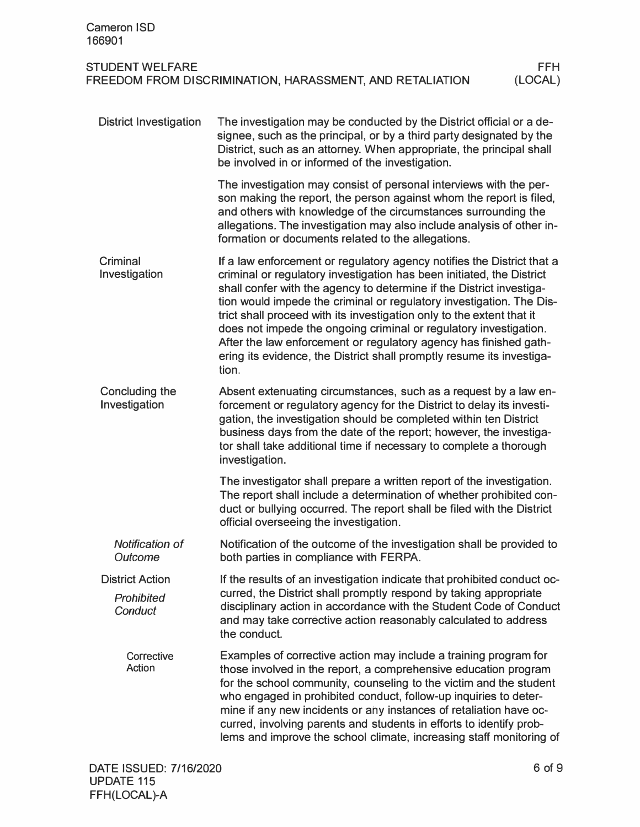| <b>Cameron ISD</b><br>166901                    |                                                                                                                                                                                                                                                                                                                                                                                                                                                                                                                                                                                                      |                       |
|-------------------------------------------------|------------------------------------------------------------------------------------------------------------------------------------------------------------------------------------------------------------------------------------------------------------------------------------------------------------------------------------------------------------------------------------------------------------------------------------------------------------------------------------------------------------------------------------------------------------------------------------------------------|-----------------------|
| <b>STUDENT WELFARE</b>                          | FREEDOM FROM DISCRIMINATION, HARASSMENT, AND RETALIATION                                                                                                                                                                                                                                                                                                                                                                                                                                                                                                                                             | <b>FFH</b><br>(LOCAL) |
| <b>District Investigation</b>                   | The investigation may be conducted by the District official or a de-<br>signee, such as the principal, or by a third party designated by the<br>District, such as an attorney. When appropriate, the principal shall<br>be involved in or informed of the investigation.                                                                                                                                                                                                                                                                                                                             |                       |
|                                                 | The investigation may consist of personal interviews with the per-<br>son making the report, the person against whom the report is filed,<br>and others with knowledge of the circumstances surrounding the<br>allegations. The investigation may also include analysis of other in-<br>formation or documents related to the allegations.                                                                                                                                                                                                                                                           |                       |
| Criminal<br>Investigation                       | If a law enforcement or regulatory agency notifies the District that a<br>criminal or regulatory investigation has been initiated, the District<br>shall confer with the agency to determine if the District investiga-<br>tion would impede the criminal or regulatory investigation. The Dis-<br>trict shall proceed with its investigation only to the extent that it<br>does not impede the ongoing criminal or regulatory investigation.<br>After the law enforcement or regulatory agency has finished gath-<br>ering its evidence, the District shall promptly resume its investiga-<br>tion. |                       |
| Concluding the<br>Investigation                 | Absent extenuating circumstances, such as a request by a law en-<br>forcement or regulatory agency for the District to delay its investi-<br>gation, the investigation should be completed within ten District<br>business days from the date of the report; however, the investiga-<br>tor shall take additional time if necessary to complete a thorough<br>investigation.                                                                                                                                                                                                                         |                       |
|                                                 | The investigator shall prepare a written report of the investigation.<br>The report shall include a determination of whether prohibited con-<br>duct or bullying occurred. The report shall be filed with the District<br>official overseeing the investigation.                                                                                                                                                                                                                                                                                                                                     |                       |
| Notification of<br>Outcome                      | Notification of the outcome of the investigation shall be provided to<br>both parties in compliance with FERPA.                                                                                                                                                                                                                                                                                                                                                                                                                                                                                      |                       |
| <b>District Action</b><br>Prohibited<br>Conduct | If the results of an investigation indicate that prohibited conduct oc-<br>curred, the District shall promptly respond by taking appropriate<br>disciplinary action in accordance with the Student Code of Conduct<br>and may take corrective action reasonably calculated to address<br>the conduct.                                                                                                                                                                                                                                                                                                |                       |
| Corrective<br>Action                            | Examples of corrective action may include a training program for<br>those involved in the report, a comprehensive education program<br>for the school community, counseling to the victim and the student<br>who engaged in prohibited conduct, follow-up inquiries to deter-<br>mine if any new incidents or any instances of retaliation have oc-<br>curred, involving parents and students in efforts to identify prob-<br>lems and improve the school climate, increasing staff monitoring of                                                                                                    |                       |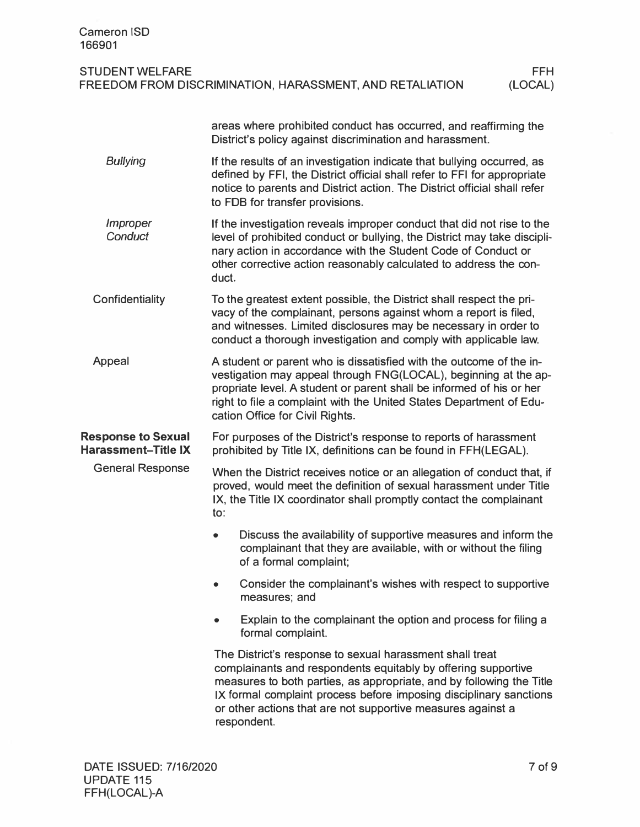|                                                         | areas where prohibited conduct has occurred, and reaffirming the<br>District's policy against discrimination and harassment.                                                                                                                                                                                                                          |
|---------------------------------------------------------|-------------------------------------------------------------------------------------------------------------------------------------------------------------------------------------------------------------------------------------------------------------------------------------------------------------------------------------------------------|
| <b>Bullying</b>                                         | If the results of an investigation indicate that bullying occurred, as<br>defined by FFI, the District official shall refer to FFI for appropriate<br>notice to parents and District action. The District official shall refer<br>to FDB for transfer provisions.                                                                                     |
| Improper<br>Conduct                                     | If the investigation reveals improper conduct that did not rise to the<br>level of prohibited conduct or bullying, the District may take discipli-<br>nary action in accordance with the Student Code of Conduct or<br>other corrective action reasonably calculated to address the con-<br>duct.                                                     |
| Confidentiality                                         | To the greatest extent possible, the District shall respect the pri-<br>vacy of the complainant, persons against whom a report is filed,<br>and witnesses. Limited disclosures may be necessary in order to<br>conduct a thorough investigation and comply with applicable law.                                                                       |
| Appeal                                                  | A student or parent who is dissatisfied with the outcome of the in-<br>vestigation may appeal through FNG(LOCAL), beginning at the ap-<br>propriate level. A student or parent shall be informed of his or her<br>right to file a complaint with the United States Department of Edu-<br>cation Office for Civil Rights.                              |
| <b>Response to Sexual</b><br><b>Harassment–Title IX</b> | For purposes of the District's response to reports of harassment<br>prohibited by Title IX, definitions can be found in FFH(LEGAL).                                                                                                                                                                                                                   |
| <b>General Response</b>                                 | When the District receives notice or an allegation of conduct that, if<br>proved, would meet the definition of sexual harassment under Title<br>IX, the Title IX coordinator shall promptly contact the complainant<br>to:                                                                                                                            |
|                                                         | Discuss the availability of supportive measures and inform the<br>$\bullet$<br>complainant that they are available, with or without the filing<br>of a formal complaint;                                                                                                                                                                              |
|                                                         | Consider the complainant's wishes with respect to supportive<br>$\bullet$<br>measures; and                                                                                                                                                                                                                                                            |
|                                                         | Explain to the complainant the option and process for filing a<br>formal complaint.                                                                                                                                                                                                                                                                   |
|                                                         | The District's response to sexual harassment shall treat<br>complainants and respondents equitably by offering supportive<br>measures to both parties, as appropriate, and by following the Title<br>IX formal complaint process before imposing disciplinary sanctions<br>or other actions that are not supportive measures against a<br>respondent. |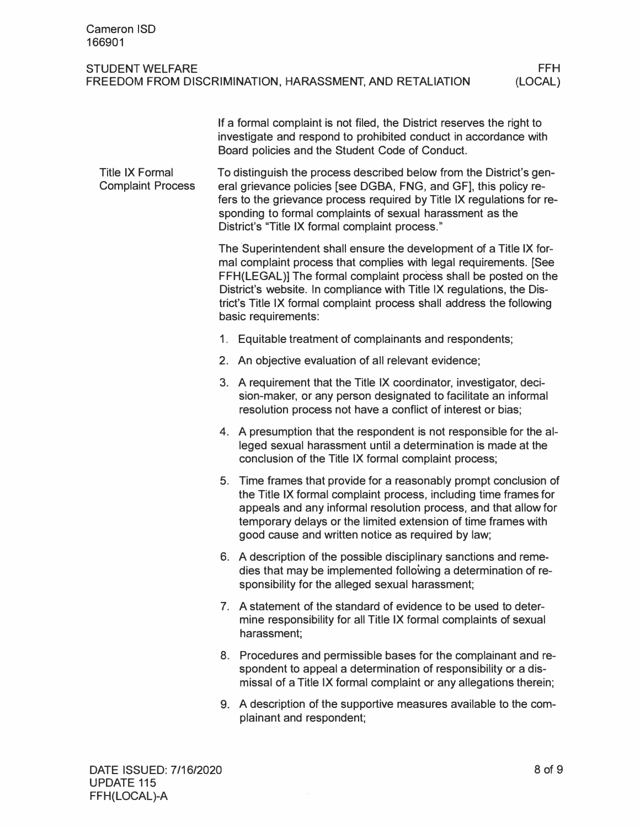Title IX Formal Complaint Process Board policies and the Student Code of Conduct. To distinguish the process described below from the District's general grievance policies [see DGBA, FNG, and GF], this policy refers to the grievance process required by Title IX regulations for responding to formal complaints of sexual harassment as the District's "Title IX formal complaint process." The Superintendent shall ensure the development of a Title IX formal complaint process that complies with legal requirements. [See FFH(LEGAL)] The formal complaint process shall be posted on the District's website. In compliance with Title IX regulations, the District's Title IX formal complaint process shall address the following basic requirements: 1. Equitable treatment of complainants and respondents; 2. An objective evaluation of all relevant evidence; 3. A requirement that the Title IX coordinator, investigator, decision-maker, or any person designated to facilitate an informal resolution process not have a conflict of interest or bias; 4. A presumption that the respondent is not responsible for the alleged sexual harassment until a determination is made at the conclusion of the Title IX formal complaint process; 5. Time frames that provide for a reasonably prompt conclusion of the Title IX formal complaint process, including time frames for appeals and any informal resolution process, and that allow for

- temporary delays or the limited extension of time frames with good cause and written notice as required by law; 6. A description of the possible disciplinary sanctions and reme-
- dies that may be implemented following a determination of responsibility for the alleged sexual harassment;
- 7. A statement of the standard of evidence to be used to determine responsibility for all Title IX formal complaints of sexual harassment;
- 8. Procedures and permissible bases for the complainant and respondent to appeal a determination of responsibility or a dismissal of a Title IX formal complaint or any allegations therein;
- 9. A description of the supportive measures available to the complainant and respondent;

FFH